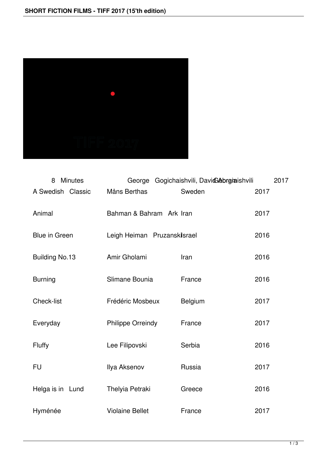

| <b>Minutes</b><br>8   | George Gogichaishvili, Davicabrgiaishvili |         | 2017 |
|-----------------------|-------------------------------------------|---------|------|
| A Swedish Classic     | Måns Berthas                              | Sweden  | 2017 |
| Animal                | Bahman & Bahram Ark Iran                  |         | 2017 |
| <b>Blue in Green</b>  | Leigh Heiman Pruzanskilsrael              |         | 2016 |
| <b>Building No.13</b> | Amir Gholami                              | Iran    | 2016 |
| <b>Burning</b>        | Slimane Bounia                            | France  | 2016 |
| <b>Check-list</b>     | Frédéric Mosbeux                          | Belgium | 2017 |
| Everyday              | <b>Philippe Orreindy</b>                  | France  | 2017 |
| Fluffy                | Lee Filipovski                            | Serbia  | 2016 |
| <b>FU</b>             | Ilya Aksenov                              | Russia  | 2017 |
| Helga is in Lund      | Thelyia Petraki                           | Greece  | 2016 |
| Hyménée               | <b>Violaine Bellet</b>                    | France  | 2017 |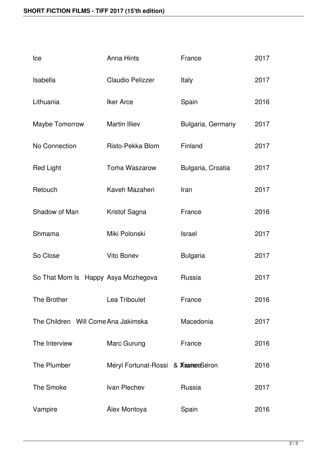| Ice                                 | <b>Anna Hints</b>                         | France            | 2017 |
|-------------------------------------|-------------------------------------------|-------------------|------|
| Isabella                            | <b>Claudio Pelizzer</b>                   | Italy             | 2017 |
| Lithuania                           | <b>Iker Arce</b>                          | Spain             | 2016 |
| Maybe Tomorrow                      | <b>Martin Illiev</b>                      | Bulgaria, Germany | 2017 |
| No Connection                       | Risto-Pekka Blom                          | Finland           | 2017 |
| <b>Red Light</b>                    | <b>Toma Waszarow</b>                      | Bulgaria, Croatia | 2017 |
| Retouch                             | Kaveh Mazaheri                            | Iran              | 2017 |
| Shadow of Man                       | Kristof Sagna                             | France            | 2016 |
| Shmama                              | Miki Polonski                             | Israel            | 2017 |
| So Close                            | <b>Vito Bonev</b>                         | <b>Bulgaria</b>   | 2017 |
| So That Mom Is Happy Asya Mozhegova |                                           | Russia            | 2017 |
| <b>The Brother</b>                  | Lea Triboulet                             | France            | 2016 |
| The Children Will Come Ana Jakimska |                                           | Macedonia         | 2017 |
| The Interview                       | Marc Gurung                               | France            | 2016 |
| The Plumber                         | Méryl Fortunat-Rossi & <b>Xaares</b> eron |                   | 2016 |
| <b>The Smoke</b>                    | Ivan Plechev                              | Russia            | 2017 |
| Vampire                             | Álex Montoya                              | Spain             | 2016 |